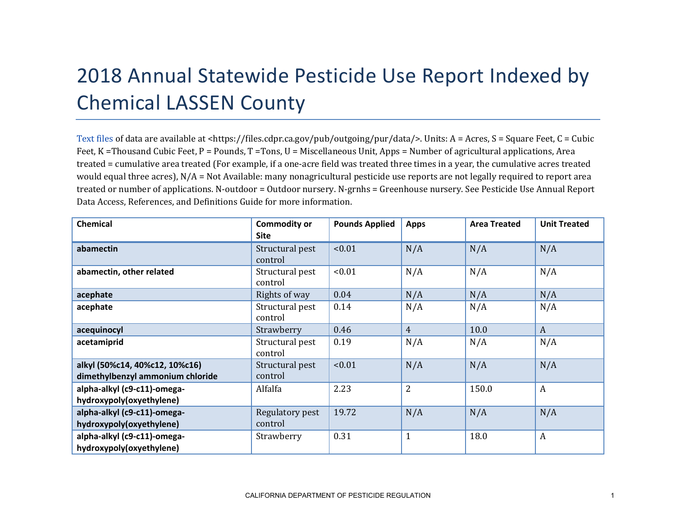## 2018 Annual Statewide Pesticide Use Report Indexed by Chemical LASSEN County

[Text files](https://files.cdpr.ca.gov/pub/outgoing/pur/data/) of data are available at <https://files.cdpr.ca.gov/pub/outgoing/pur/data/>. Units: A = Acres, S = Square Feet, C = Cubic Feet, K = Thousand Cubic Feet, P = Pounds, T = Tons, U = Miscellaneous Unit, Apps = Number of agricultural applications, Area treated = cumulative area treated (For example, if a one-acre field was treated three times in a year, the cumulative acres treated would equal three acres), N/A = Not Available: many nonagricultural pesticide use reports are not legally required to report area treated or number of applications. N-outdoor = Outdoor nursery. N-grnhs = Greenhouse nursery. See Pesticide Use Annual Report Data Access, References, and Definitions Guide for more information.

| <b>Chemical</b>                                                    | <b>Commodity or</b><br><b>Site</b> | <b>Pounds Applied</b> | <b>Apps</b>    | <b>Area Treated</b> | <b>Unit Treated</b> |
|--------------------------------------------------------------------|------------------------------------|-----------------------|----------------|---------------------|---------------------|
| abamectin                                                          | Structural pest<br>control         | < 0.01                | N/A            | N/A                 | N/A                 |
| abamectin, other related                                           | Structural pest<br>control         | < 0.01                | N/A            | N/A                 | N/A                 |
| acephate                                                           | Rights of way                      | 0.04                  | N/A            | N/A                 | N/A                 |
| acephate                                                           | Structural pest<br>control         | 0.14                  | N/A            | N/A                 | N/A                 |
| acequinocyl                                                        | Strawberry                         | 0.46                  | $\overline{4}$ | 10.0                | $\mathbf{A}$        |
| acetamiprid                                                        | Structural pest<br>control         | 0.19                  | N/A            | N/A                 | N/A                 |
| alkyl (50%c14, 40%c12, 10%c16)<br>dimethylbenzyl ammonium chloride | Structural pest<br>control         | < 0.01                | N/A            | N/A                 | N/A                 |
| alpha-alkyl (c9-c11)-omega-<br>hydroxypoly(oxyethylene)            | Alfalfa                            | 2.23                  | $\overline{2}$ | 150.0               | $\boldsymbol{A}$    |
| alpha-alkyl (c9-c11)-omega-<br>hydroxypoly(oxyethylene)            | Regulatory pest<br>control         | 19.72                 | N/A            | N/A                 | N/A                 |
| alpha-alkyl (c9-c11)-omega-<br>hydroxypoly(oxyethylene)            | Strawberry                         | 0.31                  | $\mathbf{1}$   | 18.0                | $\boldsymbol{A}$    |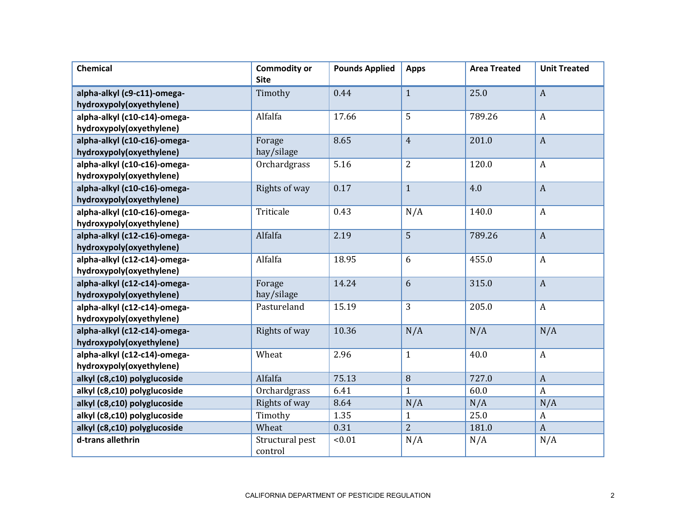| <b>Chemical</b>                                         | <b>Commodity or</b><br><b>Site</b> | <b>Pounds Applied</b> | <b>Apps</b>    | <b>Area Treated</b> | <b>Unit Treated</b> |
|---------------------------------------------------------|------------------------------------|-----------------------|----------------|---------------------|---------------------|
|                                                         |                                    | 0.44                  | $\mathbf{1}$   | 25.0                | $\boldsymbol{A}$    |
| alpha-alkyl (c9-c11)-omega-<br>hydroxypoly(oxyethylene) | Timothy                            |                       |                |                     |                     |
| alpha-alkyl (c10-c14)-omega-                            | Alfalfa                            | 17.66                 | 5              | 789.26              | $\boldsymbol{A}$    |
| hydroxypoly(oxyethylene)                                |                                    |                       |                |                     |                     |
| alpha-alkyl (c10-c16)-omega-                            | Forage                             | 8.65                  | $\overline{4}$ | 201.0               | $\boldsymbol{A}$    |
| hydroxypoly(oxyethylene)                                | hay/silage                         |                       |                |                     |                     |
| alpha-alkyl (c10-c16)-omega-                            | Orchardgrass                       | 5.16                  | $\overline{2}$ | 120.0               | $\boldsymbol{A}$    |
| hydroxypoly(oxyethylene)                                |                                    |                       |                |                     |                     |
| alpha-alkyl (c10-c16)-omega-                            | Rights of way                      | 0.17                  | $\mathbf{1}$   | 4.0                 | $\boldsymbol{A}$    |
| hydroxypoly(oxyethylene)                                |                                    |                       |                |                     |                     |
| alpha-alkyl (c10-c16)-omega-                            | Triticale                          | 0.43                  | N/A            | 140.0               | $\boldsymbol{A}$    |
| hydroxypoly(oxyethylene)                                |                                    |                       |                |                     |                     |
| alpha-alkyl (c12-c16)-omega-                            | Alfalfa                            | 2.19                  | 5              | 789.26              | $\boldsymbol{A}$    |
| hydroxypoly(oxyethylene)                                |                                    |                       |                |                     |                     |
| alpha-alkyl (c12-c14)-omega-                            | Alfalfa                            | 18.95                 | 6              | 455.0               | $\boldsymbol{A}$    |
| hydroxypoly(oxyethylene)                                |                                    |                       |                |                     |                     |
| alpha-alkyl (c12-c14)-omega-                            | Forage                             | 14.24                 | 6              | 315.0               | $\overline{A}$      |
| hydroxypoly(oxyethylene)                                | hay/silage                         |                       |                |                     |                     |
| alpha-alkyl (c12-c14)-omega-                            | Pastureland                        | 15.19                 | 3              | 205.0               | $\boldsymbol{A}$    |
| hydroxypoly(oxyethylene)                                |                                    |                       |                |                     |                     |
| alpha-alkyl (c12-c14)-omega-                            | Rights of way                      | 10.36                 | N/A            | N/A                 | N/A                 |
| hydroxypoly(oxyethylene)                                |                                    |                       |                |                     |                     |
| alpha-alkyl (c12-c14)-omega-                            | Wheat                              | 2.96                  | $\mathbf{1}$   | 40.0                | $\boldsymbol{A}$    |
| hydroxypoly(oxyethylene)                                |                                    |                       |                |                     |                     |
| alkyl (c8,c10) polyglucoside                            | Alfalfa                            | 75.13                 | 8              | 727.0               | $\overline{A}$      |
| alkyl (c8,c10) polyglucoside                            | Orchardgrass                       | 6.41                  | $\mathbf{1}$   | 60.0                | $\boldsymbol{A}$    |
| alkyl (c8,c10) polyglucoside                            | Rights of way                      | 8.64                  | N/A            | N/A                 | N/A                 |
| alkyl (c8,c10) polyglucoside                            | Timothy                            | 1.35                  | $\mathbf{1}$   | 25.0                | A                   |
| alkyl (c8,c10) polyglucoside                            | Wheat                              | 0.31                  | $\overline{2}$ | 181.0               | $\boldsymbol{A}$    |
| d-trans allethrin                                       | Structural pest<br>control         | < 0.01                | N/A            | N/A                 | N/A                 |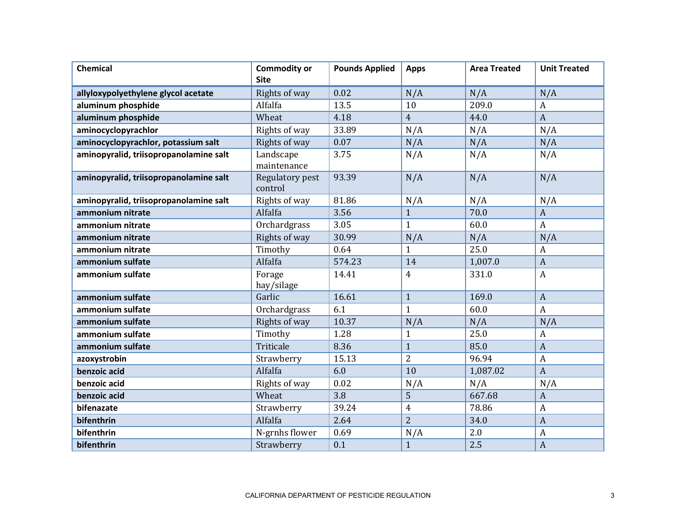| <b>Chemical</b>                        | <b>Commodity or</b><br><b>Site</b> | <b>Pounds Applied</b> | <b>Apps</b>    | <b>Area Treated</b> | <b>Unit Treated</b> |
|----------------------------------------|------------------------------------|-----------------------|----------------|---------------------|---------------------|
| allyloxypolyethylene glycol acetate    | Rights of way                      | 0.02                  | N/A            | N/A                 | N/A                 |
| aluminum phosphide                     | Alfalfa                            | 13.5                  | 10             | 209.0               | $\boldsymbol{A}$    |
| aluminum phosphide                     | Wheat                              | 4.18                  | $\overline{4}$ | 44.0                | $\boldsymbol{A}$    |
| aminocyclopyrachlor                    | Rights of way                      | 33.89                 | N/A            | N/A                 | N/A                 |
| aminocyclopyrachlor, potassium salt    | Rights of way                      | 0.07                  | N/A            | N/A                 | N/A                 |
| aminopyralid, triisopropanolamine salt | Landscape<br>maintenance           | 3.75                  | N/A            | N/A                 | N/A                 |
| aminopyralid, triisopropanolamine salt | Regulatory pest<br>control         | 93.39                 | N/A            | N/A                 | N/A                 |
| aminopyralid, triisopropanolamine salt | Rights of way                      | 81.86                 | N/A            | N/A                 | N/A                 |
| ammonium nitrate                       | Alfalfa                            | 3.56                  | $\mathbf{1}$   | 70.0                | $\boldsymbol{A}$    |
| ammonium nitrate                       | Orchardgrass                       | 3.05                  | $\mathbf{1}$   | 60.0                | $\boldsymbol{A}$    |
| ammonium nitrate                       | Rights of way                      | 30.99                 | N/A            | N/A                 | N/A                 |
| ammonium nitrate                       | Timothy                            | 0.64                  | $\mathbf{1}$   | 25.0                | A                   |
| ammonium sulfate                       | Alfalfa                            | 574.23                | 14             | 1,007.0             | $\boldsymbol{A}$    |
| ammonium sulfate                       | Forage<br>hay/silage               | 14.41                 | $\overline{4}$ | 331.0               | $\boldsymbol{A}$    |
| ammonium sulfate                       | Garlic                             | 16.61                 | $\mathbf{1}$   | 169.0               | $\boldsymbol{A}$    |
| ammonium sulfate                       | Orchardgrass                       | 6.1                   | $\mathbf{1}$   | 60.0                | $\boldsymbol{A}$    |
| ammonium sulfate                       | Rights of way                      | 10.37                 | N/A            | N/A                 | N/A                 |
| ammonium sulfate                       | Timothy                            | 1.28                  | $\mathbf{1}$   | 25.0                | $\boldsymbol{A}$    |
| ammonium sulfate                       | Triticale                          | 8.36                  | $\mathbf{1}$   | 85.0                | $\overline{A}$      |
| azoxystrobin                           | Strawberry                         | 15.13                 | $\overline{2}$ | 96.94               | $\boldsymbol{A}$    |
| benzoic acid                           | Alfalfa                            | 6.0                   | 10             | 1,087.02            | $\boldsymbol{A}$    |
| benzoic acid                           | Rights of way                      | 0.02                  | N/A            | N/A                 | N/A                 |
| benzoic acid                           | Wheat                              | 3.8                   | 5              | 667.68              | $\boldsymbol{A}$    |
| bifenazate                             | Strawberry                         | 39.24                 | $\overline{4}$ | 78.86               | A                   |
| bifenthrin                             | Alfalfa                            | 2.64                  | $\overline{2}$ | 34.0                | $\overline{A}$      |
| bifenthrin                             | N-grnhs flower                     | 0.69                  | N/A            | 2.0                 | $\boldsymbol{A}$    |
| bifenthrin                             | Strawberry                         | 0.1                   | $\mathbf{1}$   | 2.5                 | $\overline{A}$      |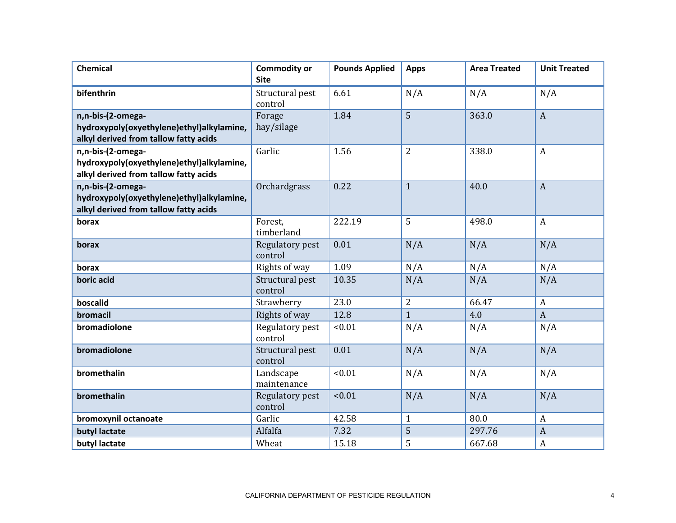| Chemical                                                                                                | <b>Commodity or</b><br><b>Site</b> | <b>Pounds Applied</b> | <b>Apps</b>    | <b>Area Treated</b> | <b>Unit Treated</b> |
|---------------------------------------------------------------------------------------------------------|------------------------------------|-----------------------|----------------|---------------------|---------------------|
| bifenthrin                                                                                              | Structural pest<br>control         | 6.61                  | N/A            | N/A                 | N/A                 |
| n,n-bis-(2-omega-<br>hydroxypoly(oxyethylene)ethyl)alkylamine,<br>alkyl derived from tallow fatty acids | Forage<br>hay/silage               | 1.84                  | 5              | 363.0               | $\boldsymbol{A}$    |
| n,n-bis-(2-omega-<br>hydroxypoly(oxyethylene)ethyl)alkylamine,<br>alkyl derived from tallow fatty acids | Garlic                             | 1.56                  | $\overline{2}$ | 338.0               | $\boldsymbol{A}$    |
| n,n-bis-(2-omega-<br>hydroxypoly(oxyethylene)ethyl)alkylamine,<br>alkyl derived from tallow fatty acids | Orchardgrass                       | 0.22                  | $\mathbf{1}$   | 40.0                | $\boldsymbol{A}$    |
| borax                                                                                                   | Forest,<br>timberland              | 222.19                | 5              | 498.0               | $\mathbf{A}$        |
| borax                                                                                                   | Regulatory pest<br>control         | 0.01                  | N/A            | N/A                 | N/A                 |
| borax                                                                                                   | Rights of way                      | 1.09                  | N/A            | N/A                 | N/A                 |
| boric acid                                                                                              | Structural pest<br>control         | 10.35                 | N/A            | N/A                 | N/A                 |
| boscalid                                                                                                | Strawberry                         | 23.0                  | $\overline{2}$ | 66.47               | $\boldsymbol{A}$    |
| bromacil                                                                                                | Rights of way                      | 12.8                  | $\mathbf{1}$   | 4.0                 | $\overline{A}$      |
| bromadiolone                                                                                            | Regulatory pest<br>control         | < 0.01                | N/A            | N/A                 | N/A                 |
| bromadiolone                                                                                            | Structural pest<br>control         | 0.01                  | N/A            | N/A                 | N/A                 |
| bromethalin                                                                                             | Landscape<br>maintenance           | < 0.01                | N/A            | N/A                 | N/A                 |
| bromethalin                                                                                             | Regulatory pest<br>control         | < 0.01                | N/A            | N/A                 | N/A                 |
| bromoxynil octanoate                                                                                    | Garlic                             | 42.58                 | $\mathbf{1}$   | 80.0                | $\boldsymbol{A}$    |
| butyl lactate                                                                                           | Alfalfa                            | 7.32                  | 5              | 297.76              | $\boldsymbol{A}$    |
| butyl lactate                                                                                           | Wheat                              | 15.18                 | 5              | 667.68              | $\boldsymbol{A}$    |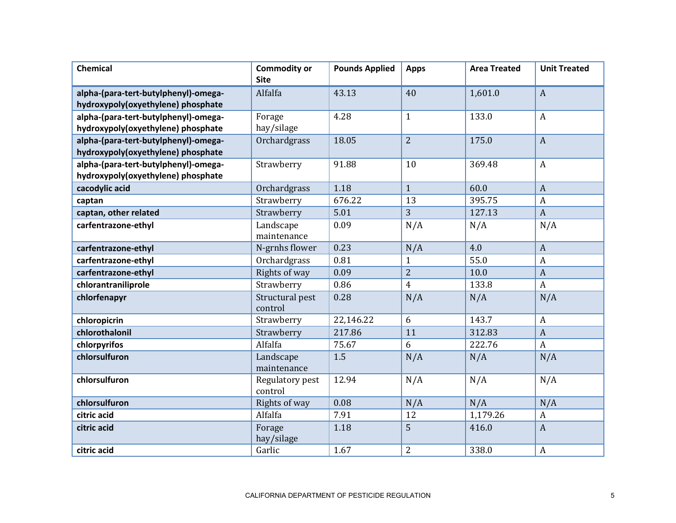| <b>Chemical</b>                                                            | <b>Commodity or</b><br><b>Site</b> | <b>Pounds Applied</b> | <b>Apps</b>    | <b>Area Treated</b> | <b>Unit Treated</b> |
|----------------------------------------------------------------------------|------------------------------------|-----------------------|----------------|---------------------|---------------------|
| alpha-(para-tert-butylphenyl)-omega-<br>hydroxypoly(oxyethylene) phosphate | Alfalfa                            | 43.13                 | 40             | 1,601.0             | $\mathbf{A}$        |
| alpha-(para-tert-butylphenyl)-omega-<br>hydroxypoly(oxyethylene) phosphate | Forage<br>hay/silage               | 4.28                  | $\mathbf{1}$   | 133.0               | $\boldsymbol{A}$    |
| alpha-(para-tert-butylphenyl)-omega-<br>hydroxypoly(oxyethylene) phosphate | Orchardgrass                       | 18.05                 | $\overline{2}$ | 175.0               | $\overline{A}$      |
| alpha-(para-tert-butylphenyl)-omega-<br>hydroxypoly(oxyethylene) phosphate | Strawberry                         | 91.88                 | 10             | 369.48              | $\boldsymbol{A}$    |
| cacodylic acid                                                             | Orchardgrass                       | 1.18                  | $\mathbf{1}$   | 60.0                | $\overline{A}$      |
| captan                                                                     | Strawberry                         | 676.22                | 13             | 395.75              | A                   |
| captan, other related                                                      | Strawberry                         | 5.01                  | 3              | 127.13              | $\overline{A}$      |
| carfentrazone-ethyl                                                        | Landscape<br>maintenance           | 0.09                  | N/A            | N/A                 | N/A                 |
| carfentrazone-ethyl                                                        | N-grnhs flower                     | 0.23                  | N/A            | 4.0                 | $\overline{A}$      |
| carfentrazone-ethyl                                                        | Orchardgrass                       | 0.81                  | $\mathbf{1}$   | 55.0                | $\boldsymbol{A}$    |
| carfentrazone-ethyl                                                        | Rights of way                      | 0.09                  | $\overline{2}$ | 10.0                | $\boldsymbol{A}$    |
| chlorantraniliprole                                                        | Strawberry                         | 0.86                  | $\overline{4}$ | 133.8               | $\boldsymbol{A}$    |
| chlorfenapyr                                                               | Structural pest<br>control         | 0.28                  | N/A            | N/A                 | N/A                 |
| chloropicrin                                                               | Strawberry                         | 22,146.22             | 6              | 143.7               | $\boldsymbol{A}$    |
| chlorothalonil                                                             | Strawberry                         | 217.86                | 11             | 312.83              | $\mathbf{A}$        |
| chlorpyrifos                                                               | Alfalfa                            | 75.67                 | 6              | 222.76              | $\mathbf{A}$        |
| chlorsulfuron                                                              | Landscape<br>maintenance           | 1.5                   | N/A            | N/A                 | N/A                 |
| chlorsulfuron                                                              | Regulatory pest<br>control         | 12.94                 | N/A            | N/A                 | N/A                 |
| chlorsulfuron                                                              | Rights of way                      | 0.08                  | N/A            | N/A                 | N/A                 |
| citric acid                                                                | Alfalfa                            | 7.91                  | 12             | 1,179.26            | A                   |
| citric acid                                                                | Forage<br>hay/silage               | 1.18                  | 5              | 416.0               | $\boldsymbol{A}$    |
| citric acid                                                                | Garlic                             | 1.67                  | $\overline{2}$ | 338.0               | $\boldsymbol{A}$    |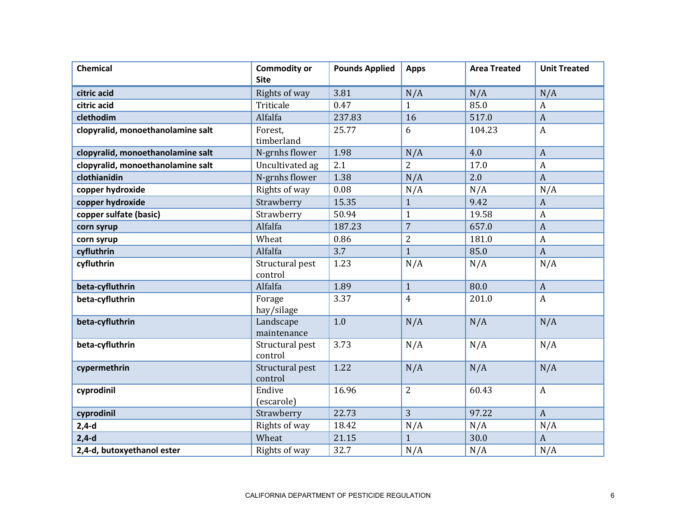| <b>Chemical</b>                   | <b>Commodity or</b><br><b>Site</b> | <b>Pounds Applied</b> | <b>Apps</b>    | <b>Area Treated</b> | <b>Unit Treated</b> |
|-----------------------------------|------------------------------------|-----------------------|----------------|---------------------|---------------------|
| citric acid                       | Rights of way                      | 3.81                  | N/A            | N/A                 | N/A                 |
| citric acid                       | Triticale                          | 0.47                  | $\mathbf{1}$   | 85.0                | $\boldsymbol{A}$    |
| clethodim                         | Alfalfa                            | 237.83                | 16             | 517.0               | $\overline{A}$      |
| clopyralid, monoethanolamine salt | Forest,<br>timberland              | 25.77                 | 6              | 104.23              | $\boldsymbol{A}$    |
| clopyralid, monoethanolamine salt | N-grnhs flower                     | 1.98                  | N/A            | 4.0                 | $\boldsymbol{A}$    |
| clopyralid, monoethanolamine salt | Uncultivated ag                    | 2.1                   | $\overline{2}$ | 17.0                | $\boldsymbol{A}$    |
| clothianidin                      | N-grnhs flower                     | 1.38                  | N/A            | 2.0                 | $\mathbf{A}$        |
| copper hydroxide                  | Rights of way                      | 0.08                  | N/A            | N/A                 | N/A                 |
| copper hydroxide                  | Strawberry                         | 15.35                 | $\mathbf{1}$   | 9.42                | $\boldsymbol{A}$    |
| copper sulfate (basic)            | Strawberry                         | 50.94                 | $\mathbf{1}$   | 19.58               | $\boldsymbol{A}$    |
| corn syrup                        | Alfalfa                            | 187.23                | $\overline{7}$ | 657.0               | $\boldsymbol{A}$    |
| corn syrup                        | Wheat                              | 0.86                  | $\overline{2}$ | 181.0               | $\boldsymbol{A}$    |
| cyfluthrin                        | Alfalfa                            | 3.7                   | $\mathbf{1}$   | 85.0                | $\boldsymbol{A}$    |
| cyfluthrin                        | Structural pest<br>control         | 1.23                  | N/A            | N/A                 | N/A                 |
| beta-cyfluthrin                   | Alfalfa                            | 1.89                  | $\mathbf{1}$   | 80.0                | $\boldsymbol{A}$    |
| beta-cyfluthrin                   | Forage<br>hay/silage               | 3.37                  | $\overline{4}$ | 201.0               | $\mathbf{A}$        |
| beta-cyfluthrin                   | Landscape<br>maintenance           | 1.0                   | N/A            | N/A                 | N/A                 |
| beta-cyfluthrin                   | Structural pest<br>control         | 3.73                  | N/A            | N/A                 | N/A                 |
| cypermethrin                      | Structural pest<br>control         | 1.22                  | N/A            | N/A                 | N/A                 |
| cyprodinil                        | Endive<br>(escarole)               | 16.96                 | $\overline{2}$ | 60.43               | $\boldsymbol{A}$    |
| cyprodinil                        | Strawberry                         | 22.73                 | 3              | 97.22               | $\mathbf{A}$        |
| $2,4-d$                           | Rights of way                      | 18.42                 | N/A            | N/A                 | N/A                 |
| $2,4-d$                           | Wheat                              | 21.15                 | $\mathbf{1}$   | 30.0                | $\mathbf{A}$        |
| 2,4-d, butoxyethanol ester        | Rights of way                      | 32.7                  | N/A            | N/A                 | N/A                 |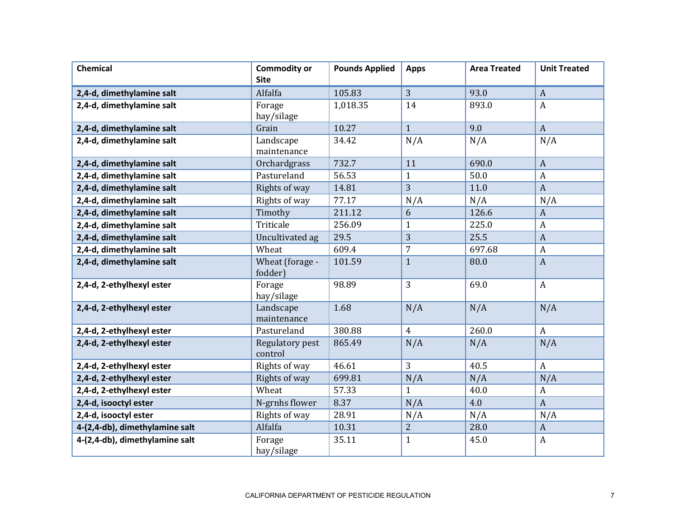| <b>Chemical</b>                | <b>Commodity or</b><br><b>Site</b> | <b>Pounds Applied</b> | <b>Apps</b>    | <b>Area Treated</b> | <b>Unit Treated</b> |
|--------------------------------|------------------------------------|-----------------------|----------------|---------------------|---------------------|
| 2,4-d, dimethylamine salt      | Alfalfa                            | 105.83                | 3              | 93.0                | $\boldsymbol{A}$    |
| 2,4-d, dimethylamine salt      | Forage<br>hay/silage               | 1,018.35              | 14             | 893.0               | $\boldsymbol{A}$    |
| 2,4-d, dimethylamine salt      | Grain                              | 10.27                 | $\mathbf{1}$   | 9.0                 | $\mathbf{A}$        |
| 2,4-d, dimethylamine salt      | Landscape<br>maintenance           | 34.42                 | N/A            | N/A                 | N/A                 |
| 2,4-d, dimethylamine salt      | Orchardgrass                       | 732.7                 | 11             | 690.0               | $\boldsymbol{A}$    |
| 2,4-d, dimethylamine salt      | Pastureland                        | 56.53                 | $\mathbf{1}$   | 50.0                | $\boldsymbol{A}$    |
| 2,4-d, dimethylamine salt      | Rights of way                      | 14.81                 | 3              | 11.0                | $\boldsymbol{A}$    |
| 2,4-d, dimethylamine salt      | Rights of way                      | 77.17                 | N/A            | N/A                 | N/A                 |
| 2,4-d, dimethylamine salt      | Timothy                            | 211.12                | 6              | 126.6               | $\boldsymbol{A}$    |
| 2,4-d, dimethylamine salt      | Triticale                          | 256.09                | $\mathbf{1}$   | 225.0               | $\boldsymbol{A}$    |
| 2,4-d, dimethylamine salt      | Uncultivated ag                    | 29.5                  | 3              | 25.5                | $\boldsymbol{A}$    |
| 2,4-d, dimethylamine salt      | Wheat                              | 609.4                 | $\overline{7}$ | 697.68              | A                   |
| 2,4-d, dimethylamine salt      | Wheat (forage -<br>fodder)         | 101.59                | $\mathbf{1}$   | 80.0                | $\boldsymbol{A}$    |
| 2,4-d, 2-ethylhexyl ester      | Forage<br>hay/silage               | 98.89                 | $\overline{3}$ | 69.0                | $\mathbf{A}$        |
| 2,4-d, 2-ethylhexyl ester      | Landscape<br>maintenance           | 1.68                  | N/A            | N/A                 | N/A                 |
| 2,4-d, 2-ethylhexyl ester      | Pastureland                        | 380.88                | $\overline{4}$ | 260.0               | $\mathbf{A}$        |
| 2,4-d, 2-ethylhexyl ester      | Regulatory pest<br>control         | 865.49                | N/A            | N/A                 | N/A                 |
| 2,4-d, 2-ethylhexyl ester      | Rights of way                      | 46.61                 | 3              | 40.5                | $\boldsymbol{A}$    |
| 2,4-d, 2-ethylhexyl ester      | Rights of way                      | 699.81                | N/A            | N/A                 | N/A                 |
| 2,4-d, 2-ethylhexyl ester      | Wheat                              | 57.33                 | $\mathbf{1}$   | 40.0                | A                   |
| 2,4-d, isooctyl ester          | N-grnhs flower                     | 8.37                  | N/A            | 4.0                 | $\boldsymbol{A}$    |
| 2,4-d, isooctyl ester          | Rights of way                      | 28.91                 | N/A            | N/A                 | N/A                 |
| 4-(2,4-db), dimethylamine salt | Alfalfa                            | 10.31                 | $\overline{2}$ | 28.0                | A                   |
| 4-(2,4-db), dimethylamine salt | Forage<br>hay/silage               | 35.11                 | $\mathbf{1}$   | 45.0                | $\boldsymbol{A}$    |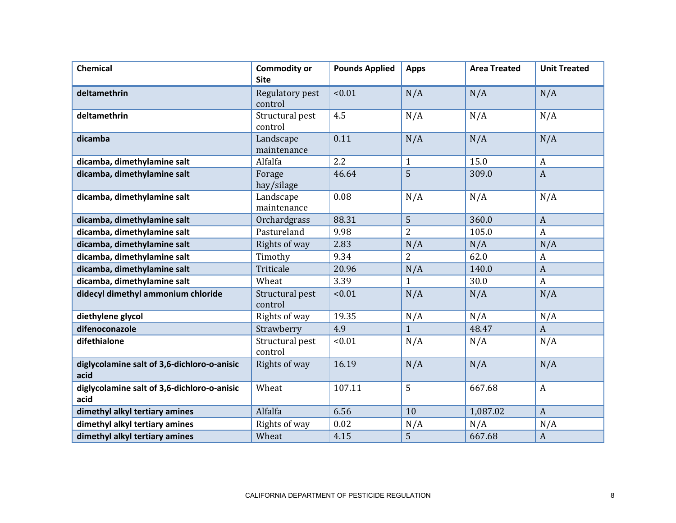| Chemical                                            | <b>Commodity or</b><br><b>Site</b> | <b>Pounds Applied</b> | <b>Apps</b>    | <b>Area Treated</b> | <b>Unit Treated</b> |
|-----------------------------------------------------|------------------------------------|-----------------------|----------------|---------------------|---------------------|
| deltamethrin                                        | Regulatory pest<br>control         | < 0.01                | N/A            | N/A                 | N/A                 |
| deltamethrin                                        | Structural pest<br>control         | 4.5                   | N/A            | N/A                 | N/A                 |
| dicamba                                             | Landscape<br>maintenance           | 0.11                  | N/A            | N/A                 | N/A                 |
| dicamba, dimethylamine salt                         | Alfalfa                            | 2.2                   | $\mathbf{1}$   | 15.0                | $\boldsymbol{A}$    |
| dicamba, dimethylamine salt                         | Forage<br>hay/silage               | 46.64                 | 5              | 309.0               | $\mathbf{A}$        |
| dicamba, dimethylamine salt                         | Landscape<br>maintenance           | 0.08                  | N/A            | N/A                 | N/A                 |
| dicamba, dimethylamine salt                         | Orchardgrass                       | 88.31                 | 5              | 360.0               | $\boldsymbol{A}$    |
| dicamba, dimethylamine salt                         | Pastureland                        | 9.98                  | $\overline{2}$ | 105.0               | $\mathbf{A}$        |
| dicamba, dimethylamine salt                         | Rights of way                      | 2.83                  | N/A            | N/A                 | N/A                 |
| dicamba, dimethylamine salt                         | Timothy                            | 9.34                  | $\overline{2}$ | 62.0                | A                   |
| dicamba, dimethylamine salt                         | Triticale                          | 20.96                 | N/A            | 140.0               | $\boldsymbol{A}$    |
| dicamba, dimethylamine salt                         | Wheat                              | 3.39                  | $\mathbf{1}$   | 30.0                | $\boldsymbol{A}$    |
| didecyl dimethyl ammonium chloride                  | Structural pest<br>control         | < 0.01                | N/A            | N/A                 | N/A                 |
| diethylene glycol                                   | Rights of way                      | 19.35                 | N/A            | N/A                 | N/A                 |
| difenoconazole                                      | Strawberry                         | 4.9                   | $\mathbf{1}$   | 48.47               | $\boldsymbol{A}$    |
| difethialone                                        | Structural pest<br>control         | < 0.01                | N/A            | N/A                 | N/A                 |
| diglycolamine salt of 3,6-dichloro-o-anisic<br>acid | Rights of way                      | 16.19                 | N/A            | N/A                 | N/A                 |
| diglycolamine salt of 3,6-dichloro-o-anisic<br>acid | Wheat                              | 107.11                | 5              | 667.68              | $\mathbf{A}$        |
| dimethyl alkyl tertiary amines                      | Alfalfa                            | 6.56                  | 10             | 1,087.02            | $\boldsymbol{A}$    |
| dimethyl alkyl tertiary amines                      | Rights of way                      | 0.02                  | N/A            | N/A                 | N/A                 |
| dimethyl alkyl tertiary amines                      | Wheat                              | 4.15                  | 5              | 667.68              | $\boldsymbol{A}$    |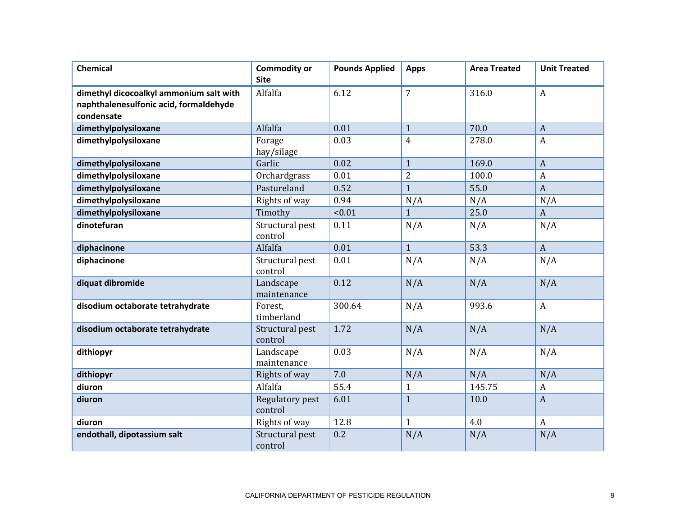| <b>Chemical</b>                         | <b>Commodity or</b><br><b>Site</b> | <b>Pounds Applied</b> | <b>Apps</b>    | <b>Area Treated</b> | <b>Unit Treated</b> |
|-----------------------------------------|------------------------------------|-----------------------|----------------|---------------------|---------------------|
| dimethyl dicocoalkyl ammonium salt with | Alfalfa                            | 6.12                  | $\overline{7}$ | 316.0               | $\boldsymbol{A}$    |
| naphthalenesulfonic acid, formaldehyde  |                                    |                       |                |                     |                     |
| condensate                              |                                    |                       |                |                     |                     |
| dimethylpolysiloxane                    | Alfalfa                            | 0.01                  | $\mathbf{1}$   | 70.0                | $\overline{A}$      |
| dimethylpolysiloxane                    | Forage<br>hay/silage               | 0.03                  | $\overline{4}$ | 278.0               | $\boldsymbol{A}$    |
| dimethylpolysiloxane                    | Garlic                             | 0.02                  | $\mathbf{1}$   | 169.0               | $\overline{A}$      |
| dimethylpolysiloxane                    | Orchardgrass                       | 0.01                  | 2              | 100.0               | $\boldsymbol{A}$    |
| dimethylpolysiloxane                    | Pastureland                        | 0.52                  | $\mathbf{1}$   | 55.0                | $\overline{A}$      |
| dimethylpolysiloxane                    | Rights of way                      | 0.94                  | N/A            | N/A                 | N/A                 |
| dimethylpolysiloxane                    | Timothy                            | < 0.01                | $\mathbf{1}$   | 25.0                | $\boldsymbol{A}$    |
| dinotefuran                             | Structural pest<br>control         | 0.11                  | N/A            | N/A                 | N/A                 |
| diphacinone                             | Alfalfa                            | 0.01                  | $\mathbf{1}$   | 53.3                | $\overline{A}$      |
| diphacinone                             | Structural pest<br>control         | 0.01                  | N/A            | N/A                 | N/A                 |
| diquat dibromide                        | Landscape<br>maintenance           | 0.12                  | N/A            | N/A                 | N/A                 |
| disodium octaborate tetrahydrate        | Forest,<br>timberland              | 300.64                | N/A            | 993.6               | $\mathbf{A}$        |
| disodium octaborate tetrahydrate        | Structural pest<br>control         | 1.72                  | N/A            | N/A                 | N/A                 |
| dithiopyr                               | Landscape<br>maintenance           | 0.03                  | N/A            | N/A                 | N/A                 |
| dithiopyr                               | Rights of way                      | 7.0                   | N/A            | N/A                 | N/A                 |
| diuron                                  | Alfalfa                            | 55.4                  | $\mathbf{1}$   | 145.75              | $\boldsymbol{A}$    |
| diuron                                  | Regulatory pest<br>control         | 6.01                  | $\mathbf{1}$   | 10.0                | $\overline{A}$      |
| diuron                                  | Rights of way                      | 12.8                  | $\mathbf{1}$   | 4.0                 | $\boldsymbol{A}$    |
| endothall, dipotassium salt             | Structural pest<br>control         | 0.2                   | N/A            | N/A                 | N/A                 |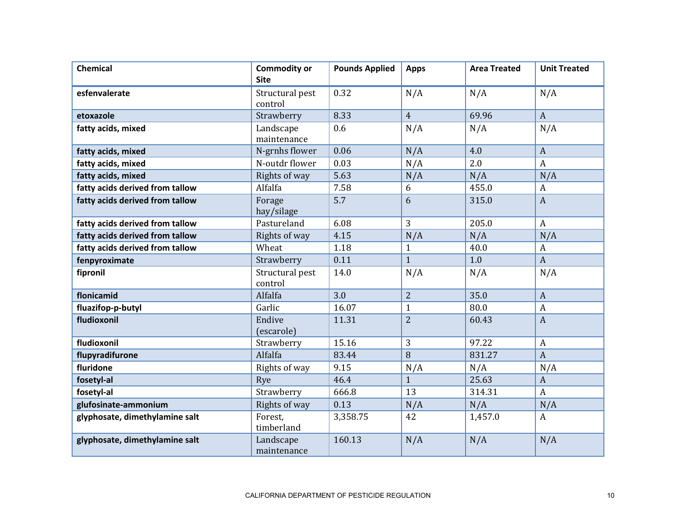| <b>Chemical</b>                 | <b>Commodity or</b><br><b>Site</b> | <b>Pounds Applied</b> | <b>Apps</b>    | <b>Area Treated</b> | <b>Unit Treated</b> |
|---------------------------------|------------------------------------|-----------------------|----------------|---------------------|---------------------|
| esfenvalerate                   | Structural pest<br>control         | 0.32                  | N/A            | N/A                 | N/A                 |
| etoxazole                       | Strawberry                         | 8.33                  | $\overline{4}$ | 69.96               | $\boldsymbol{A}$    |
| fatty acids, mixed              | Landscape<br>maintenance           | 0.6                   | N/A            | N/A                 | N/A                 |
| fatty acids, mixed              | N-grnhs flower                     | 0.06                  | N/A            | 4.0                 | $\mathbf{A}$        |
| fatty acids, mixed              | N-outdr flower                     | 0.03                  | N/A            | 2.0                 | $\boldsymbol{A}$    |
| fatty acids, mixed              | Rights of way                      | 5.63                  | N/A            | N/A                 | N/A                 |
| fatty acids derived from tallow | Alfalfa                            | 7.58                  | 6              | 455.0               | $\boldsymbol{A}$    |
| fatty acids derived from tallow | Forage<br>hay/silage               | 5.7                   | 6              | 315.0               | $\mathbf{A}$        |
| fatty acids derived from tallow | Pastureland                        | 6.08                  | 3              | 205.0               | $\boldsymbol{A}$    |
| fatty acids derived from tallow | Rights of way                      | 4.15                  | N/A            | N/A                 | N/A                 |
| fatty acids derived from tallow | Wheat                              | 1.18                  | $\mathbf{1}$   | 40.0                | $\boldsymbol{A}$    |
| fenpyroximate                   | Strawberry                         | 0.11                  | $\mathbf{1}$   | 1.0                 | $\mathbf{A}$        |
| fipronil                        | Structural pest<br>control         | 14.0                  | N/A            | N/A                 | N/A                 |
| flonicamid                      | Alfalfa                            | 3.0                   | $\overline{2}$ | 35.0                | $\mathbf{A}$        |
| fluazifop-p-butyl               | Garlic                             | 16.07                 | $\mathbf{1}$   | 80.0                | $\boldsymbol{A}$    |
| fludioxonil                     | Endive<br>(escarole)               | 11.31                 | $\overline{2}$ | 60.43               | $\boldsymbol{A}$    |
| fludioxonil                     | Strawberry                         | 15.16                 | 3              | 97.22               | $\boldsymbol{A}$    |
| flupyradifurone                 | Alfalfa                            | 83.44                 | 8              | 831.27              | $\overline{A}$      |
| fluridone                       | Rights of way                      | 9.15                  | N/A            | N/A                 | N/A                 |
| fosetyl-al                      | Rye                                | 46.4                  | $\mathbf{1}$   | 25.63               | $\mathbf{A}$        |
| fosetyl-al                      | Strawberry                         | 666.8                 | 13             | 314.31              | $\boldsymbol{A}$    |
| glufosinate-ammonium            | Rights of way                      | 0.13                  | N/A            | N/A                 | N/A                 |
| glyphosate, dimethylamine salt  | Forest,<br>timberland              | 3,358.75              | 42             | 1,457.0             | $\mathbf{A}$        |
| glyphosate, dimethylamine salt  | Landscape<br>maintenance           | 160.13                | N/A            | N/A                 | N/A                 |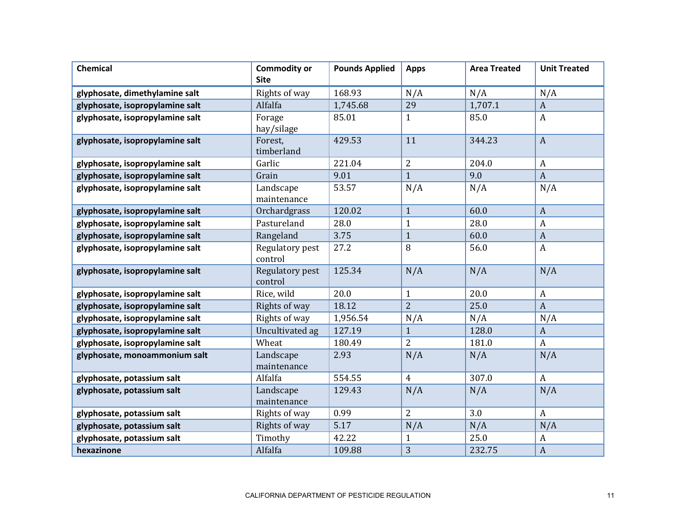| <b>Chemical</b>                 | <b>Commodity or</b><br><b>Site</b> | <b>Pounds Applied</b> | <b>Apps</b>    | <b>Area Treated</b> | <b>Unit Treated</b> |
|---------------------------------|------------------------------------|-----------------------|----------------|---------------------|---------------------|
| glyphosate, dimethylamine salt  | Rights of way                      | 168.93                | N/A            | N/A                 | N/A                 |
| glyphosate, isopropylamine salt | Alfalfa                            | 1,745.68              | 29             | 1,707.1             | $\mathbf{A}$        |
| glyphosate, isopropylamine salt | Forage<br>hay/silage               | 85.01                 | $\mathbf{1}$   | 85.0                | $\mathbf{A}$        |
| glyphosate, isopropylamine salt | Forest,<br>timberland              | 429.53                | 11             | 344.23              | $\boldsymbol{A}$    |
| glyphosate, isopropylamine salt | Garlic                             | 221.04                | $\overline{2}$ | 204.0               | A                   |
| glyphosate, isopropylamine salt | Grain                              | 9.01                  | $\mathbf{1}$   | 9.0                 | $\overline{A}$      |
| glyphosate, isopropylamine salt | Landscape<br>maintenance           | 53.57                 | N/A            | N/A                 | N/A                 |
| glyphosate, isopropylamine salt | Orchardgrass                       | 120.02                | $\mathbf{1}$   | 60.0                | $\boldsymbol{A}$    |
| glyphosate, isopropylamine salt | Pastureland                        | 28.0                  | $\mathbf{1}$   | 28.0                | $\boldsymbol{A}$    |
| glyphosate, isopropylamine salt | Rangeland                          | 3.75                  | $\mathbf{1}$   | 60.0                | $\boldsymbol{A}$    |
| glyphosate, isopropylamine salt | Regulatory pest<br>control         | 27.2                  | 8              | 56.0                | $\boldsymbol{A}$    |
| glyphosate, isopropylamine salt | Regulatory pest<br>control         | 125.34                | N/A            | N/A                 | N/A                 |
| glyphosate, isopropylamine salt | Rice, wild                         | 20.0                  | $\mathbf{1}$   | 20.0                | $\boldsymbol{A}$    |
| glyphosate, isopropylamine salt | Rights of way                      | 18.12                 | $\overline{2}$ | 25.0                | $\boldsymbol{A}$    |
| glyphosate, isopropylamine salt | Rights of way                      | 1,956.54              | N/A            | N/A                 | N/A                 |
| glyphosate, isopropylamine salt | Uncultivated ag                    | 127.19                | $\mathbf{1}$   | 128.0               | $\boldsymbol{A}$    |
| glyphosate, isopropylamine salt | Wheat                              | 180.49                | $\overline{2}$ | 181.0               | $\mathbf{A}$        |
| glyphosate, monoammonium salt   | Landscape<br>maintenance           | 2.93                  | N/A            | N/A                 | N/A                 |
| glyphosate, potassium salt      | Alfalfa                            | 554.55                | $\overline{4}$ | 307.0               | $\boldsymbol{A}$    |
| glyphosate, potassium salt      | Landscape<br>maintenance           | 129.43                | N/A            | N/A                 | N/A                 |
| glyphosate, potassium salt      | Rights of way                      | 0.99                  | $\overline{2}$ | 3.0                 | $\boldsymbol{A}$    |
| glyphosate, potassium salt      | Rights of way                      | 5.17                  | N/A            | N/A                 | N/A                 |
| glyphosate, potassium salt      | Timothy                            | 42.22                 | $\mathbf{1}$   | 25.0                | $\boldsymbol{A}$    |
| hexazinone                      | Alfalfa                            | 109.88                | 3              | 232.75              | $\boldsymbol{A}$    |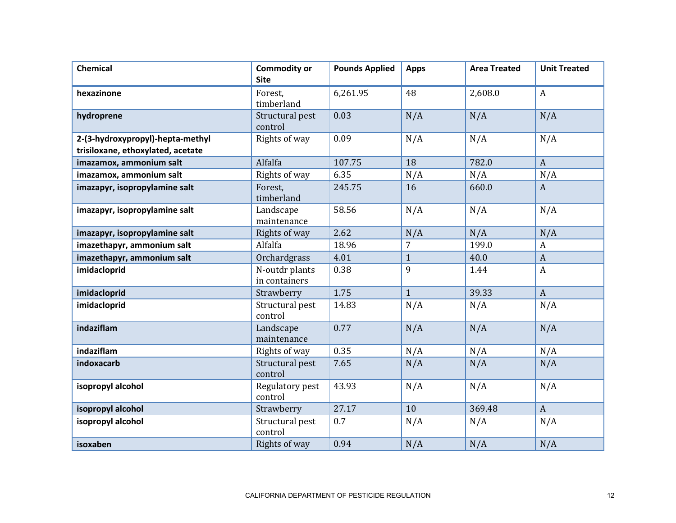| <b>Chemical</b>                                                       | <b>Commodity or</b><br><b>Site</b> | <b>Pounds Applied</b> | <b>Apps</b>  | <b>Area Treated</b> | <b>Unit Treated</b> |
|-----------------------------------------------------------------------|------------------------------------|-----------------------|--------------|---------------------|---------------------|
| hexazinone                                                            | Forest,<br>timberland              | 6,261.95              | 48           | 2,608.0             | $\mathbf{A}$        |
| hydroprene                                                            | Structural pest<br>control         | 0.03                  | N/A          | N/A                 | N/A                 |
| 2-(3-hydroxypropyl)-hepta-methyl<br>trisiloxane, ethoxylated, acetate | Rights of way                      | 0.09                  | N/A          | N/A                 | N/A                 |
| imazamox, ammonium salt                                               | Alfalfa                            | 107.75                | 18           | 782.0               | $\overline{A}$      |
| imazamox, ammonium salt                                               | Rights of way                      | 6.35                  | N/A          | N/A                 | N/A                 |
| imazapyr, isopropylamine salt                                         | Forest,<br>timberland              | 245.75                | 16           | 660.0               | $\mathbf{A}$        |
| imazapyr, isopropylamine salt                                         | Landscape<br>maintenance           | 58.56                 | N/A          | N/A                 | N/A                 |
| imazapyr, isopropylamine salt                                         | Rights of way                      | 2.62                  | N/A          | N/A                 | N/A                 |
| imazethapyr, ammonium salt                                            | Alfalfa                            | 18.96                 | 7            | 199.0               | $\boldsymbol{A}$    |
| imazethapyr, ammonium salt                                            | Orchardgrass                       | 4.01                  | $\mathbf{1}$ | 40.0                | $\boldsymbol{A}$    |
| imidacloprid                                                          | N-outdr plants<br>in containers    | 0.38                  | 9            | 1.44                | $\mathbf{A}$        |
| imidacloprid                                                          | Strawberry                         | 1.75                  | $\mathbf{1}$ | 39.33               | $\mathbf{A}$        |
| imidacloprid                                                          | Structural pest<br>control         | 14.83                 | N/A          | N/A                 | N/A                 |
| indaziflam                                                            | Landscape<br>maintenance           | 0.77                  | N/A          | N/A                 | N/A                 |
| indaziflam                                                            | Rights of way                      | 0.35                  | N/A          | N/A                 | N/A                 |
| indoxacarb                                                            | Structural pest<br>control         | 7.65                  | N/A          | N/A                 | N/A                 |
| isopropyl alcohol                                                     | Regulatory pest<br>control         | 43.93                 | N/A          | N/A                 | N/A                 |
| isopropyl alcohol                                                     | Strawberry                         | 27.17                 | 10           | 369.48              | $\overline{A}$      |
| isopropyl alcohol                                                     | Structural pest<br>control         | 0.7                   | N/A          | N/A                 | N/A                 |
| isoxaben                                                              | Rights of way                      | 0.94                  | N/A          | N/A                 | N/A                 |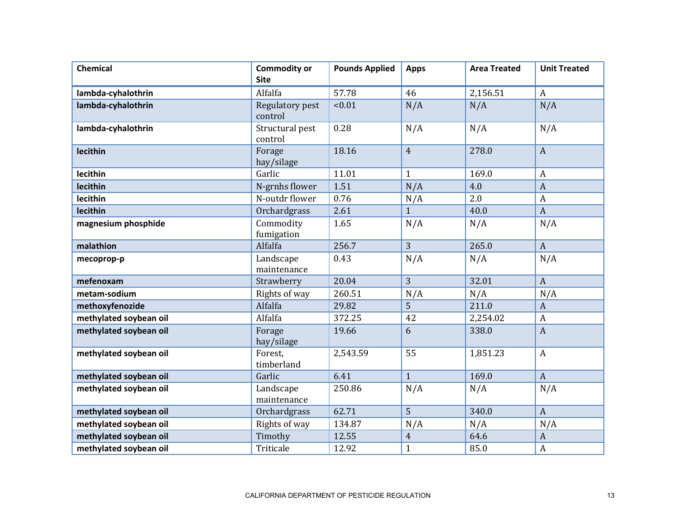| <b>Chemical</b>        | <b>Commodity or</b><br><b>Site</b> | <b>Pounds Applied</b> | <b>Apps</b>    | <b>Area Treated</b> | <b>Unit Treated</b> |
|------------------------|------------------------------------|-----------------------|----------------|---------------------|---------------------|
| lambda-cyhalothrin     | Alfalfa                            | 57.78                 | 46             | 2,156.51            | $\mathbf{A}$        |
| lambda-cyhalothrin     | Regulatory pest<br>control         | < 0.01                | N/A            | N/A                 | N/A                 |
| lambda-cyhalothrin     | Structural pest<br>control         | 0.28                  | N/A            | N/A                 | N/A                 |
| lecithin               | Forage<br>hay/silage               | 18.16                 | $\overline{4}$ | 278.0               | $\mathbf{A}$        |
| lecithin               | Garlic                             | 11.01                 | $\mathbf{1}$   | 169.0               | A                   |
| lecithin               | N-grnhs flower                     | 1.51                  | N/A            | 4.0                 | $\boldsymbol{A}$    |
| lecithin               | N-outdr flower                     | 0.76                  | N/A            | 2.0                 | $\boldsymbol{A}$    |
| lecithin               | Orchardgrass                       | 2.61                  | $\mathbf{1}$   | 40.0                | $\boldsymbol{A}$    |
| magnesium phosphide    | Commodity<br>fumigation            | 1.65                  | N/A            | N/A                 | N/A                 |
| malathion              | Alfalfa                            | 256.7                 | $\overline{3}$ | 265.0               | $\mathbf{A}$        |
| mecoprop-p             | Landscape<br>maintenance           | 0.43                  | N/A            | N/A                 | N/A                 |
| mefenoxam              | Strawberry                         | 20.04                 | $\overline{3}$ | 32.01               | $\overline{A}$      |
| metam-sodium           | Rights of way                      | 260.51                | N/A            | N/A                 | N/A                 |
| methoxyfenozide        | Alfalfa                            | 29.82                 | 5              | 211.0               | $\boldsymbol{A}$    |
| methylated soybean oil | Alfalfa                            | 372.25                | 42             | 2,254.02            | $\boldsymbol{A}$    |
| methylated soybean oil | Forage<br>hay/silage               | 19.66                 | 6              | 338.0               | $\boldsymbol{A}$    |
| methylated soybean oil | Forest.<br>timberland              | 2,543.59              | 55             | 1,851.23            | $\mathbf{A}$        |
| methylated soybean oil | Garlic                             | 6.41                  | $\mathbf{1}$   | 169.0               | $\overline{A}$      |
| methylated soybean oil | Landscape<br>maintenance           | 250.86                | N/A            | N/A                 | N/A                 |
| methylated soybean oil | Orchardgrass                       | 62.71                 | 5              | 340.0               | $\mathbf{A}$        |
| methylated soybean oil | Rights of way                      | 134.87                | N/A            | N/A                 | N/A                 |
| methylated soybean oil | Timothy                            | 12.55                 | $\overline{4}$ | 64.6                | $\boldsymbol{A}$    |
| methylated soybean oil | Triticale                          | 12.92                 | $\mathbf{1}$   | 85.0                | $\boldsymbol{A}$    |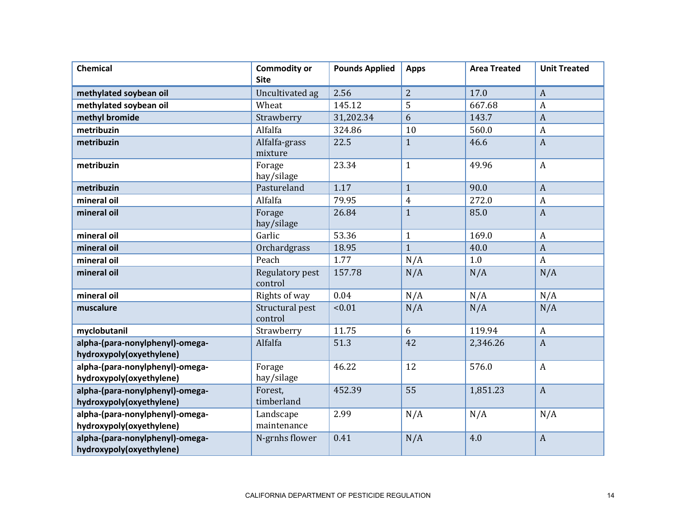| <b>Chemical</b>                                             | <b>Commodity or</b><br><b>Site</b> | <b>Pounds Applied</b> | <b>Apps</b>    | <b>Area Treated</b> | <b>Unit Treated</b> |
|-------------------------------------------------------------|------------------------------------|-----------------------|----------------|---------------------|---------------------|
| methylated soybean oil                                      | Uncultivated ag                    | 2.56                  | $\overline{2}$ | 17.0                | $\boldsymbol{A}$    |
| methylated soybean oil                                      | Wheat                              | 145.12                | 5              | 667.68              | $\boldsymbol{A}$    |
| methyl bromide                                              | Strawberry                         | 31,202.34             | 6              | 143.7               | $\boldsymbol{A}$    |
| metribuzin                                                  | Alfalfa                            | 324.86                | 10             | 560.0               | $\boldsymbol{A}$    |
| metribuzin                                                  | Alfalfa-grass<br>mixture           | 22.5                  | $\mathbf{1}$   | 46.6                | $\boldsymbol{A}$    |
| metribuzin                                                  | Forage<br>hay/silage               | 23.34                 | $\mathbf{1}$   | 49.96               | $\mathbf{A}$        |
| metribuzin                                                  | Pastureland                        | 1.17                  | $\mathbf{1}$   | 90.0                | $\boldsymbol{A}$    |
| mineral oil                                                 | Alfalfa                            | 79.95                 | $\overline{4}$ | 272.0               | $\boldsymbol{A}$    |
| mineral oil                                                 | Forage<br>hay/silage               | 26.84                 | $\mathbf{1}$   | 85.0                | $\boldsymbol{A}$    |
| mineral oil                                                 | Garlic                             | 53.36                 | $\mathbf{1}$   | 169.0               | $\boldsymbol{A}$    |
| mineral oil                                                 | Orchardgrass                       | 18.95                 | $\mathbf{1}$   | 40.0                | $\boldsymbol{A}$    |
| mineral oil                                                 | Peach                              | 1.77                  | N/A            | 1.0                 | $\mathbf{A}$        |
| mineral oil                                                 | Regulatory pest<br>control         | 157.78                | N/A            | N/A                 | N/A                 |
| mineral oil                                                 | Rights of way                      | 0.04                  | N/A            | N/A                 | N/A                 |
| muscalure                                                   | Structural pest<br>control         | < 0.01                | N/A            | N/A                 | N/A                 |
| myclobutanil                                                | Strawberry                         | 11.75                 | 6              | 119.94              | $\boldsymbol{A}$    |
| alpha-(para-nonylphenyl)-omega-<br>hydroxypoly(oxyethylene) | Alfalfa                            | 51.3                  | 42             | 2,346.26            | $\boldsymbol{A}$    |
| alpha-(para-nonylphenyl)-omega-<br>hydroxypoly(oxyethylene) | Forage<br>hay/silage               | 46.22                 | 12             | 576.0               | $\mathbf{A}$        |
| alpha-(para-nonylphenyl)-omega-<br>hydroxypoly(oxyethylene) | Forest,<br>timberland              | 452.39                | 55             | 1,851.23            | $\mathbf{A}$        |
| alpha-(para-nonylphenyl)-omega-<br>hydroxypoly(oxyethylene) | Landscape<br>maintenance           | 2.99                  | N/A            | N/A                 | N/A                 |
| alpha-(para-nonylphenyl)-omega-<br>hydroxypoly(oxyethylene) | N-grnhs flower                     | 0.41                  | N/A            | 4.0                 | $\boldsymbol{A}$    |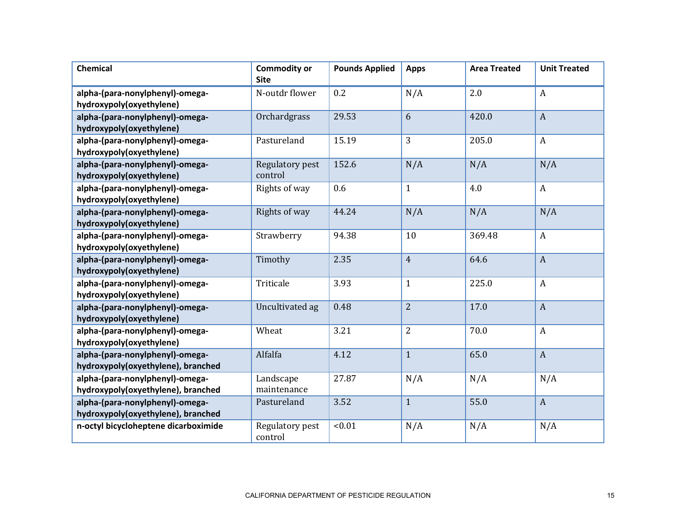| <b>Chemical</b>                                                       | <b>Commodity or</b><br><b>Site</b> | <b>Pounds Applied</b> | <b>Apps</b>    | <b>Area Treated</b> | <b>Unit Treated</b> |
|-----------------------------------------------------------------------|------------------------------------|-----------------------|----------------|---------------------|---------------------|
| alpha-(para-nonylphenyl)-omega-<br>hydroxypoly(oxyethylene)           | N-outdr flower                     | 0.2                   | N/A            | 2.0                 | $\boldsymbol{A}$    |
| alpha-(para-nonylphenyl)-omega-<br>hydroxypoly(oxyethylene)           | Orchardgrass                       | 29.53                 | 6              | 420.0               | $\boldsymbol{A}$    |
| alpha-(para-nonylphenyl)-omega-<br>hydroxypoly(oxyethylene)           | Pastureland                        | 15.19                 | 3              | 205.0               | $\mathbf{A}$        |
| alpha-(para-nonylphenyl)-omega-<br>hydroxypoly(oxyethylene)           | Regulatory pest<br>control         | 152.6                 | N/A            | N/A                 | N/A                 |
| alpha-(para-nonylphenyl)-omega-<br>hydroxypoly(oxyethylene)           | Rights of way                      | 0.6                   | $\mathbf{1}$   | 4.0                 | $\mathbf{A}$        |
| alpha-(para-nonylphenyl)-omega-<br>hydroxypoly(oxyethylene)           | Rights of way                      | 44.24                 | N/A            | N/A                 | N/A                 |
| alpha-(para-nonylphenyl)-omega-<br>hydroxypoly(oxyethylene)           | Strawberry                         | 94.38                 | 10             | 369.48              | $\mathbf{A}$        |
| alpha-(para-nonylphenyl)-omega-<br>hydroxypoly(oxyethylene)           | Timothy                            | 2.35                  | $\overline{4}$ | 64.6                | $\overline{A}$      |
| alpha-(para-nonylphenyl)-omega-<br>hydroxypoly(oxyethylene)           | Triticale                          | 3.93                  | $\mathbf{1}$   | 225.0               | $\boldsymbol{A}$    |
| alpha-(para-nonylphenyl)-omega-<br>hydroxypoly(oxyethylene)           | Uncultivated ag                    | 0.48                  | $\overline{2}$ | 17.0                | $\mathbf{A}$        |
| alpha-(para-nonylphenyl)-omega-<br>hydroxypoly(oxyethylene)           | Wheat                              | 3.21                  | $\overline{2}$ | 70.0                | $\boldsymbol{A}$    |
| alpha-(para-nonylphenyl)-omega-<br>hydroxypoly(oxyethylene), branched | Alfalfa                            | 4.12                  | $\mathbf{1}$   | 65.0                | $\mathbf{A}$        |
| alpha-(para-nonylphenyl)-omega-<br>hydroxypoly(oxyethylene), branched | Landscape<br>maintenance           | 27.87                 | N/A            | N/A                 | N/A                 |
| alpha-(para-nonylphenyl)-omega-<br>hydroxypoly(oxyethylene), branched | Pastureland                        | 3.52                  | $\mathbf{1}$   | 55.0                | $\boldsymbol{A}$    |
| n-octyl bicycloheptene dicarboximide                                  | Regulatory pest<br>control         | < 0.01                | N/A            | N/A                 | N/A                 |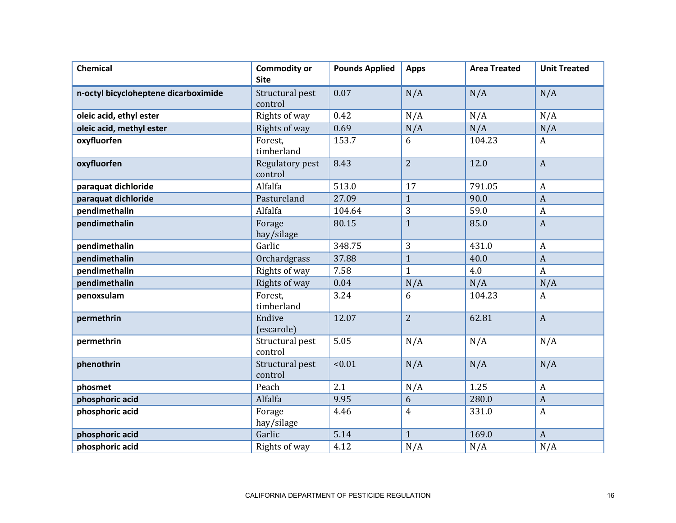| <b>Chemical</b>                      | <b>Commodity or</b><br><b>Site</b> | <b>Pounds Applied</b> | <b>Apps</b>    | <b>Area Treated</b> | <b>Unit Treated</b> |
|--------------------------------------|------------------------------------|-----------------------|----------------|---------------------|---------------------|
| n-octyl bicycloheptene dicarboximide | Structural pest<br>control         | 0.07                  | N/A            | N/A                 | N/A                 |
| oleic acid, ethyl ester              | Rights of way                      | 0.42                  | N/A            | N/A                 | N/A                 |
| oleic acid, methyl ester             | Rights of way                      | 0.69                  | N/A            | N/A                 | N/A                 |
| oxyfluorfen                          | Forest,<br>timberland              | 153.7                 | 6              | 104.23              | $\mathbf{A}$        |
| oxyfluorfen                          | Regulatory pest<br>control         | 8.43                  | $\overline{2}$ | 12.0                | $\boldsymbol{A}$    |
| paraquat dichloride                  | Alfalfa                            | 513.0                 | 17             | 791.05              | $\boldsymbol{A}$    |
| paraquat dichloride                  | Pastureland                        | 27.09                 | $\mathbf{1}$   | 90.0                | $\boldsymbol{A}$    |
| pendimethalin                        | Alfalfa                            | 104.64                | 3              | 59.0                | $\boldsymbol{A}$    |
| pendimethalin                        | Forage<br>hay/silage               | 80.15                 | $\mathbf{1}$   | 85.0                | $\boldsymbol{A}$    |
| pendimethalin                        | Garlic                             | 348.75                | 3              | 431.0               | $\boldsymbol{A}$    |
| pendimethalin                        | Orchardgrass                       | 37.88                 | $\mathbf{1}$   | 40.0                | $\boldsymbol{A}$    |
| pendimethalin                        | Rights of way                      | 7.58                  | $\mathbf{1}$   | 4.0                 | $\boldsymbol{A}$    |
| pendimethalin                        | Rights of way                      | 0.04                  | N/A            | N/A                 | N/A                 |
| penoxsulam                           | Forest,<br>timberland              | 3.24                  | 6              | 104.23              | $\boldsymbol{A}$    |
| permethrin                           | Endive<br>(escarole)               | 12.07                 | $\overline{2}$ | 62.81               | $\mathbf{A}$        |
| permethrin                           | Structural pest<br>control         | 5.05                  | N/A            | N/A                 | N/A                 |
| phenothrin                           | Structural pest<br>control         | < 0.01                | N/A            | N/A                 | N/A                 |
| phosmet                              | Peach                              | 2.1                   | N/A            | 1.25                | $\boldsymbol{A}$    |
| phosphoric acid                      | Alfalfa                            | 9.95                  | 6              | 280.0               | $\boldsymbol{A}$    |
| phosphoric acid                      | Forage<br>hay/silage               | 4.46                  | $\overline{4}$ | 331.0               | $\boldsymbol{A}$    |
| phosphoric acid                      | Garlic                             | 5.14                  | $\mathbf{1}$   | 169.0               | $\overline{A}$      |
| phosphoric acid                      | Rights of way                      | 4.12                  | N/A            | N/A                 | N/A                 |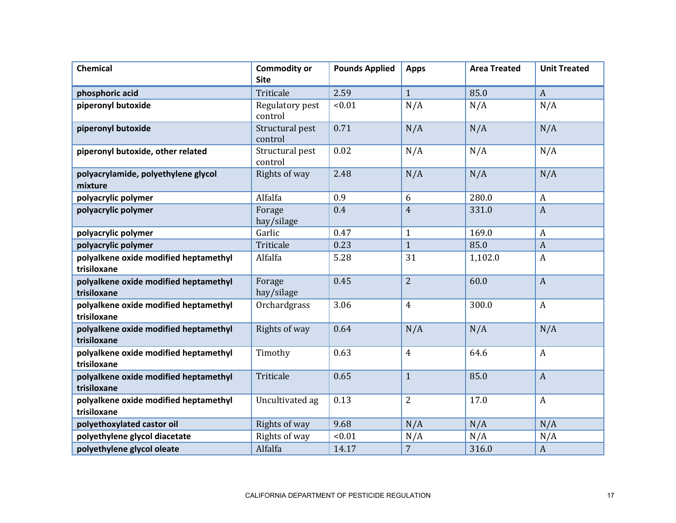| <b>Chemical</b>                                      | <b>Commodity or</b><br><b>Site</b> | <b>Pounds Applied</b> | <b>Apps</b>    | <b>Area Treated</b> | <b>Unit Treated</b> |
|------------------------------------------------------|------------------------------------|-----------------------|----------------|---------------------|---------------------|
| phosphoric acid                                      | Triticale                          | 2.59                  | $\mathbf{1}$   | 85.0                | $\boldsymbol{A}$    |
| piperonyl butoxide                                   | Regulatory pest<br>control         | < 0.01                | N/A            | N/A                 | N/A                 |
| piperonyl butoxide                                   | Structural pest<br>control         | 0.71                  | N/A            | N/A                 | N/A                 |
| piperonyl butoxide, other related                    | Structural pest<br>control         | 0.02                  | N/A            | N/A                 | N/A                 |
| polyacrylamide, polyethylene glycol<br>mixture       | Rights of way                      | 2.48                  | N/A            | N/A                 | N/A                 |
| polyacrylic polymer                                  | Alfalfa                            | 0.9                   | 6              | 280.0               | A                   |
| polyacrylic polymer                                  | Forage<br>hay/silage               | 0.4                   | $\overline{4}$ | 331.0               | $\overline{A}$      |
| polyacrylic polymer                                  | Garlic                             | 0.47                  | $\mathbf{1}$   | 169.0               | $\boldsymbol{A}$    |
| polyacrylic polymer                                  | Triticale                          | 0.23                  | $\mathbf{1}$   | 85.0                | $\boldsymbol{A}$    |
| polyalkene oxide modified heptamethyl<br>trisiloxane | Alfalfa                            | 5.28                  | 31             | 1,102.0             | $\boldsymbol{A}$    |
| polyalkene oxide modified heptamethyl<br>trisiloxane | Forage<br>hay/silage               | 0.45                  | $\overline{2}$ | 60.0                | $\overline{A}$      |
| polyalkene oxide modified heptamethyl<br>trisiloxane | Orchardgrass                       | 3.06                  | $\overline{4}$ | 300.0               | $\boldsymbol{A}$    |
| polyalkene oxide modified heptamethyl<br>trisiloxane | Rights of way                      | 0.64                  | N/A            | N/A                 | N/A                 |
| polyalkene oxide modified heptamethyl<br>trisiloxane | Timothy                            | 0.63                  | $\overline{4}$ | 64.6                | $\boldsymbol{A}$    |
| polyalkene oxide modified heptamethyl<br>trisiloxane | Triticale                          | 0.65                  | $\mathbf{1}$   | 85.0                | $\mathbf{A}$        |
| polyalkene oxide modified heptamethyl<br>trisiloxane | Uncultivated ag                    | 0.13                  | $\overline{2}$ | 17.0                | $\boldsymbol{A}$    |
| polyethoxylated castor oil                           | Rights of way                      | 9.68                  | N/A            | N/A                 | N/A                 |
| polyethylene glycol diacetate                        | Rights of way                      | < 0.01                | N/A            | N/A                 | N/A                 |
| polyethylene glycol oleate                           | Alfalfa                            | 14.17                 | $\overline{7}$ | 316.0               | $\boldsymbol{A}$    |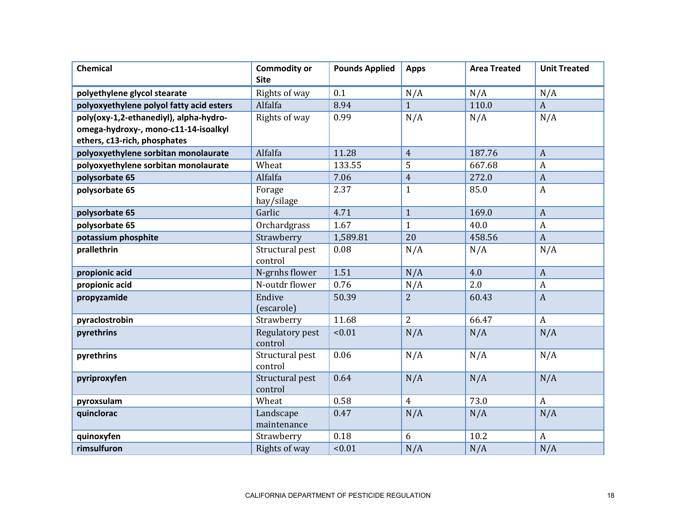| <b>Chemical</b>                          | <b>Commodity or</b><br><b>Site</b> | <b>Pounds Applied</b> | <b>Apps</b>    | <b>Area Treated</b> | <b>Unit Treated</b> |
|------------------------------------------|------------------------------------|-----------------------|----------------|---------------------|---------------------|
| polyethylene glycol stearate             | Rights of way                      | 0.1                   | N/A            | N/A                 | N/A                 |
| polyoxyethylene polyol fatty acid esters | Alfalfa                            | 8.94                  | $\mathbf{1}$   | 110.0               | $\boldsymbol{A}$    |
| poly(oxy-1,2-ethanediyl), alpha-hydro-   | Rights of way                      | 0.99                  | N/A            | N/A                 | N/A                 |
| omega-hydroxy-, mono-c11-14-isoalkyl     |                                    |                       |                |                     |                     |
| ethers, c13-rich, phosphates             |                                    |                       |                |                     |                     |
| polyoxyethylene sorbitan monolaurate     | Alfalfa                            | 11.28                 | $\overline{4}$ | 187.76              | $\boldsymbol{A}$    |
| polyoxyethylene sorbitan monolaurate     | Wheat                              | 133.55                | 5              | 667.68              | $\boldsymbol{A}$    |
| polysorbate 65                           | Alfalfa                            | 7.06                  | $\overline{4}$ | 272.0               | $\boldsymbol{A}$    |
| polysorbate 65                           | Forage<br>hay/silage               | 2.37                  | $\mathbf{1}$   | 85.0                | $\boldsymbol{A}$    |
| polysorbate 65                           | Garlic                             | 4.71                  | $\mathbf{1}$   | 169.0               | $\overline{A}$      |
| polysorbate 65                           | Orchardgrass                       | 1.67                  | $\mathbf{1}$   | 40.0                | $\boldsymbol{A}$    |
| potassium phosphite                      | Strawberry                         | 1,589.81              | 20             | 458.56              | $\boldsymbol{A}$    |
| prallethrin                              | Structural pest<br>control         | 0.08                  | N/A            | N/A                 | N/A                 |
| propionic acid                           | N-grnhs flower                     | 1.51                  | N/A            | 4.0                 | $\boldsymbol{A}$    |
| propionic acid                           | N-outdr flower                     | 0.76                  | N/A            | 2.0                 | $\boldsymbol{A}$    |
| propyzamide                              | Endive<br>(escarole)               | 50.39                 | $\overline{2}$ | 60.43               | $\boldsymbol{A}$    |
| pyraclostrobin                           | Strawberry                         | 11.68                 | $\overline{2}$ | 66.47               | $\mathbf{A}$        |
| pyrethrins                               | Regulatory pest<br>control         | < 0.01                | N/A            | N/A                 | N/A                 |
| pyrethrins                               | Structural pest<br>control         | 0.06                  | N/A            | N/A                 | N/A                 |
| pyriproxyfen                             | Structural pest<br>control         | 0.64                  | N/A            | N/A                 | N/A                 |
| pyroxsulam                               | Wheat                              | 0.58                  | $\overline{4}$ | 73.0                | $\mathbf{A}$        |
| quinclorac                               | Landscape<br>maintenance           | 0.47                  | N/A            | N/A                 | N/A                 |
| quinoxyfen                               | Strawberry                         | 0.18                  | 6              | 10.2                | $\mathbf{A}$        |
| rimsulfuron                              | Rights of way                      | < 0.01                | N/A            | N/A                 | N/A                 |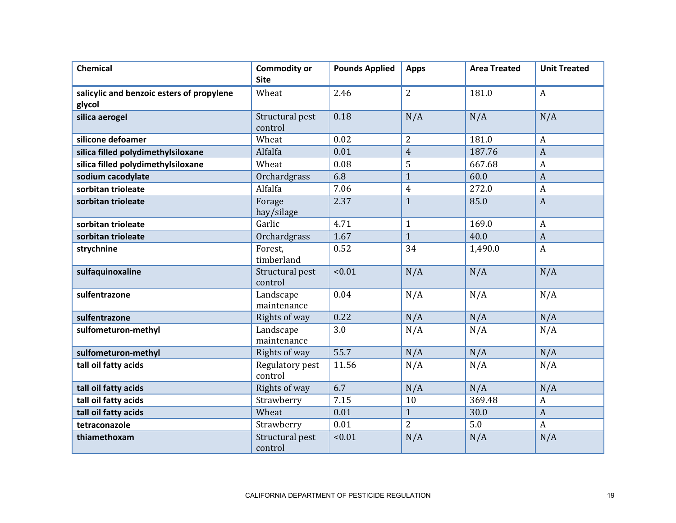| <b>Chemical</b>                                     | <b>Commodity or</b><br><b>Site</b> | <b>Pounds Applied</b> | <b>Apps</b>    | <b>Area Treated</b> | <b>Unit Treated</b> |
|-----------------------------------------------------|------------------------------------|-----------------------|----------------|---------------------|---------------------|
| salicylic and benzoic esters of propylene<br>glycol | Wheat                              | 2.46                  | $\overline{2}$ | 181.0               | $\boldsymbol{A}$    |
| silica aerogel                                      | Structural pest<br>control         | 0.18                  | N/A            | N/A                 | N/A                 |
| silicone defoamer                                   | Wheat                              | 0.02                  | $\overline{2}$ | 181.0               | $\overline{A}$      |
| silica filled polydimethylsiloxane                  | Alfalfa                            | 0.01                  | $\overline{4}$ | 187.76              | $\overline{A}$      |
| silica filled polydimethylsiloxane                  | Wheat                              | 0.08                  | 5              | 667.68              | $\boldsymbol{A}$    |
| sodium cacodylate                                   | Orchardgrass                       | 6.8                   | $\mathbf{1}$   | 60.0                | $\boldsymbol{A}$    |
| sorbitan trioleate                                  | Alfalfa                            | 7.06                  | $\overline{4}$ | 272.0               | $\boldsymbol{A}$    |
| sorbitan trioleate                                  | Forage<br>hay/silage               | 2.37                  | $\mathbf{1}$   | 85.0                | $\overline{A}$      |
| sorbitan trioleate                                  | Garlic                             | 4.71                  | $\mathbf{1}$   | 169.0               | $\overline{A}$      |
| sorbitan trioleate                                  | Orchardgrass                       | 1.67                  | $\mathbf{1}$   | 40.0                | $\overline{A}$      |
| strychnine                                          | Forest,<br>timberland              | 0.52                  | 34             | 1,490.0             | $\mathbf{A}$        |
| sulfaquinoxaline                                    | Structural pest<br>control         | < 0.01                | N/A            | N/A                 | N/A                 |
| sulfentrazone                                       | Landscape<br>maintenance           | 0.04                  | N/A            | N/A                 | N/A                 |
| sulfentrazone                                       | Rights of way                      | 0.22                  | N/A            | N/A                 | N/A                 |
| sulfometuron-methyl                                 | Landscape<br>maintenance           | 3.0                   | N/A            | N/A                 | N/A                 |
| sulfometuron-methyl                                 | Rights of way                      | 55.7                  | N/A            | N/A                 | N/A                 |
| tall oil fatty acids                                | Regulatory pest<br>control         | 11.56                 | N/A            | N/A                 | N/A                 |
| tall oil fatty acids                                | Rights of way                      | 6.7                   | N/A            | N/A                 | N/A                 |
| tall oil fatty acids                                | Strawberry                         | 7.15                  | 10             | 369.48              | $\boldsymbol{A}$    |
| tall oil fatty acids                                | Wheat                              | 0.01                  | $\mathbf{1}$   | 30.0                | $\overline{A}$      |
| tetraconazole                                       | Strawberry                         | 0.01                  | $\overline{2}$ | 5.0                 | $\boldsymbol{A}$    |
| thiamethoxam                                        | Structural pest<br>control         | < 0.01                | N/A            | N/A                 | N/A                 |